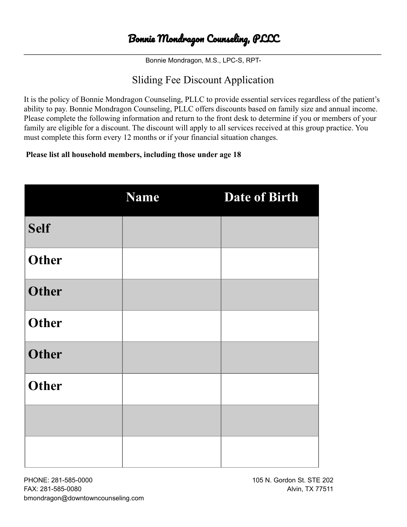# Bonnie Mondragon Counseling, PLLC

\_\_\_\_\_\_\_\_\_\_\_\_\_\_\_\_\_\_\_\_\_\_\_\_\_\_\_\_\_\_\_\_\_\_\_\_\_\_\_\_\_\_\_\_\_\_\_\_\_\_\_\_\_\_\_\_\_\_\_\_\_\_\_\_\_\_\_\_\_\_\_\_\_\_\_\_\_\_\_\_\_\_\_\_\_\_\_\_ Bonnie Mondragon, M.S., LPC-S, RPT-

## Sliding Fee Discount Application

It is the policy of Bonnie Mondragon Counseling, PLLC to provide essential services regardless of the patient's ability to pay. Bonnie Mondragon Counseling, PLLC offers discounts based on family size and annual income. Please complete the following information and return to the front desk to determine if you or members of your family are eligible for a discount. The discount will apply to all services received at this group practice. You must complete this form every 12 months or if your financial situation changes.

#### **Please list all household members, including those under age 18**

|              | <b>Name</b> | <b>Date of Birth</b> |
|--------------|-------------|----------------------|
| <b>Self</b>  |             |                      |
| <b>Other</b> |             |                      |
| <b>Other</b> |             |                      |
| <b>Other</b> |             |                      |
| <b>Other</b> |             |                      |
| <b>Other</b> |             |                      |
|              |             |                      |
|              |             |                      |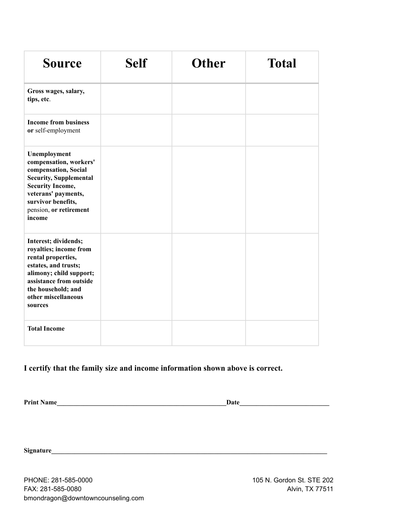| <b>Source</b>                                                                                                                                                                                               | <b>Self</b> | <b>Other</b> | <b>Total</b> |
|-------------------------------------------------------------------------------------------------------------------------------------------------------------------------------------------------------------|-------------|--------------|--------------|
| Gross wages, salary,<br>tips, etc.                                                                                                                                                                          |             |              |              |
| <b>Income from business</b><br>or self-employment                                                                                                                                                           |             |              |              |
| Unemployment<br>compensation, workers'<br>compensation, Social<br><b>Security, Supplemental</b><br><b>Security Income,</b><br>veterans' payments,<br>survivor benefits,<br>pension, or retirement<br>income |             |              |              |
| Interest; dividends;<br>royalties; income from<br>rental properties,<br>estates, and trusts;<br>alimony; child support;<br>assistance from outside<br>the household; and<br>other miscellaneous<br>sources  |             |              |              |
| <b>Total Income</b>                                                                                                                                                                                         |             |              |              |

#### **I certify that the family size and income information shown above is correct.**

**Print Name\_\_\_\_\_\_\_\_\_\_\_\_\_\_\_\_\_\_\_\_\_\_\_\_\_\_\_\_\_\_\_\_\_\_\_\_\_\_\_\_\_\_\_\_\_\_\_\_\_\_\_Date\_\_\_\_\_\_\_\_\_\_\_\_\_\_\_\_\_\_\_\_\_\_\_\_\_\_\_**

**Signature\_\_\_\_\_\_\_\_\_\_\_\_\_\_\_\_\_\_\_\_\_\_\_\_\_\_\_\_\_\_\_\_\_\_\_\_\_\_\_\_\_\_\_\_\_\_\_\_\_\_\_\_\_\_\_\_\_\_\_\_\_\_\_\_\_\_\_\_\_\_\_\_\_\_\_\_\_\_\_\_\_\_\_**

PHONE: 281-585-0000 105 N. Gordon St. STE 202 FAX: 281-585-0080 Alvin, TX 77511 bmondragon@downtowncounseling.com